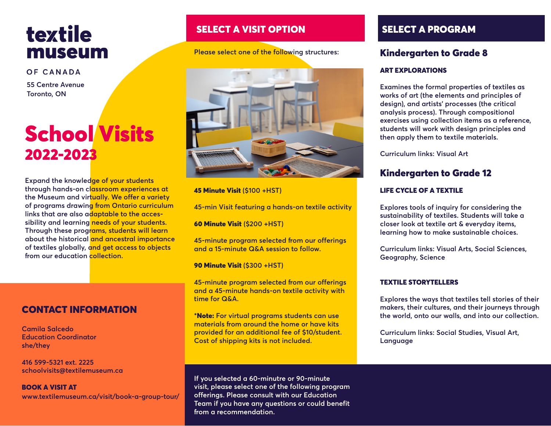# textile museum

OF CANADA

**55 Centre Avenue Toronto, ON**

# School Visits 2022-2023

**Expand the knowledge of your students through hands-on classroom experiences at the Museum and virtually. We offer a variety of programs drawing from Ontario curriculum links that are also adaptable to the accessibility and learning needs of your students. Through these programs, students will learn about the historical and ancestral importance of textiles globally, and get access to objects from our education collection.** 

# CONTACT INFORMATION

**Camila Salcedo Education Coordinator she/they**

**416 599-5321 ext. 2225 schoolvisits@textilemuseum.ca**

BOOK A VISIT AT **www.textilemuseum.ca/visit/book-a-group-tour/**

# SELECT A VISIT OPTION SELECT A PROGRAM

**Please select one of the following structures:**



45 Minute Visit **(\$100 +HST)** 

**45-min Visit featuring a hands-on textile activity** 

60 Minute Visit **(\$200 +HST)**

**45-minute program selected from our offerings and a 15-minute Q&A session to follow.** 

90 Minute Visit **(\$300 +HST)**

**45-minute program selected from our offerings and a 45-minute hands-on textile activity with time for Q&A.** 

**\***Note: **For virtual programs students can use materials from around the home or have kits provided for an additional fee of \$10/student. Cost of shipping kits is not included.** 

**If you selected a 60-minutre or 90-minute visit, please select one of the following program offerings. Please consult with our Education Team if you have any questions or could benefit from a recommendation.** 

# Kindergarten to Grade 8

### ART EXPLORATIONS

**Examines the formal properties of textiles as works of art (the elements and principles of design), and artists' processes (the critical analysis process). Through compositional exercises using collection items as a reference, students will work with design principles and then apply them to textile materials.** 

**Curriculum links: Visual Art** 

# Kindergarten to Grade 12

### LIFE CYCLE OF A TEXTILE

**Explores tools of inquiry for considering the sustainability of textiles. Students will take a closer look at textile art & everyday items, learning how to make sustainable choices.** 

**Curriculum links: Visual Arts, Social Sciences, Geography, Science** 

#### TEXTILE STORYTELLERS

**Explores the ways that textiles tell stories of their makers, their cultures, and their journeys through the world, onto our walls, and into our collection.** 

**Curriculum links: Social Studies, Visual Art, Language**